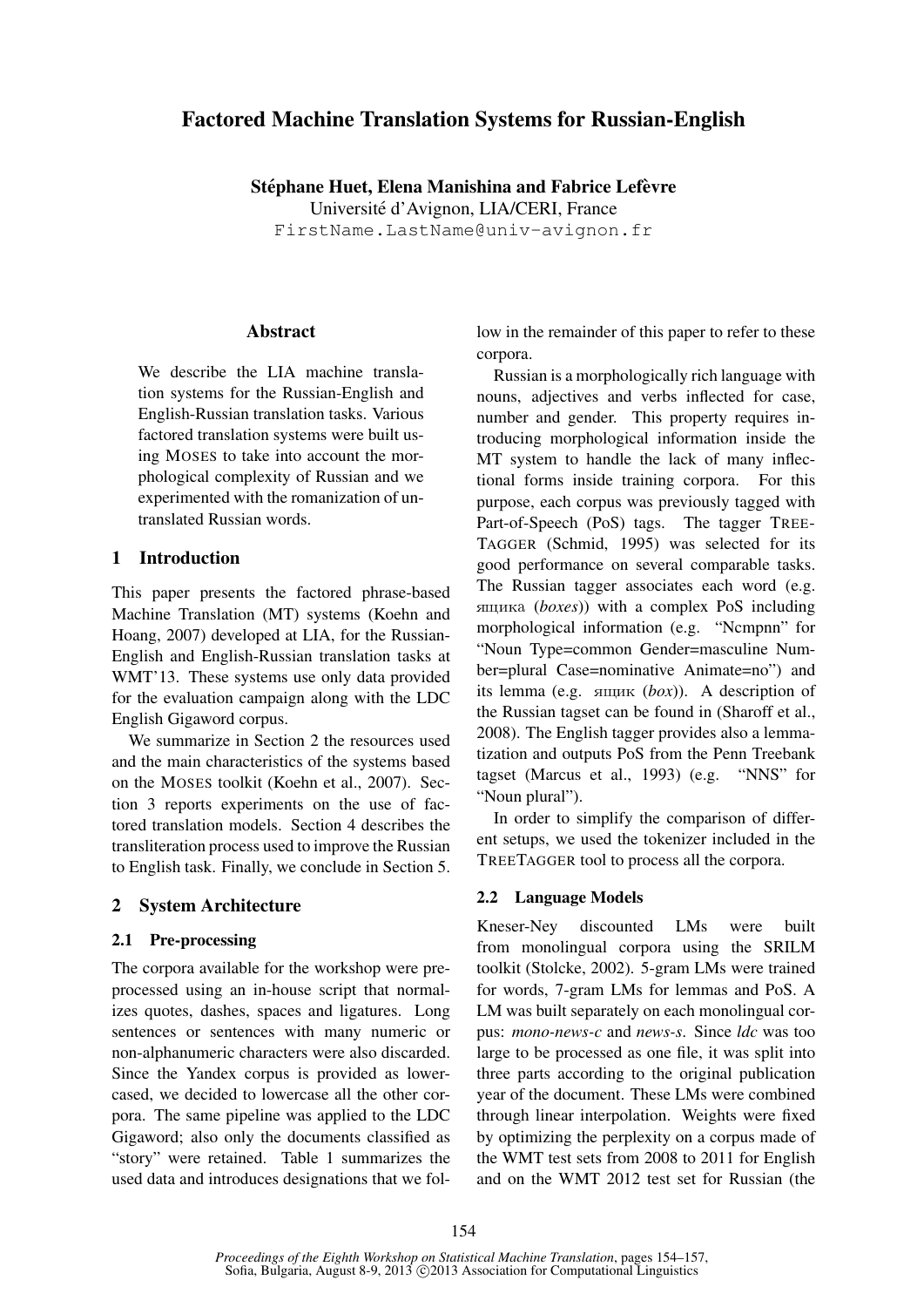# Factored Machine Translation Systems for Russian-English

Stéphane Huet, Elena Manishina and Fabrice Lefèvre Universite d'Avignon, LIA/CERI, France ´ FirstName.LastName@univ-avignon.fr

### Abstract

We describe the LIA machine translation systems for the Russian-English and English-Russian translation tasks. Various factored translation systems were built using MOSES to take into account the morphological complexity of Russian and we experimented with the romanization of untranslated Russian words.

# 1 Introduction

This paper presents the factored phrase-based Machine Translation (MT) systems (Koehn and Hoang, 2007) developed at LIA, for the Russian-English and English-Russian translation tasks at WMT'13. These systems use only data provided for the evaluation campaign along with the LDC English Gigaword corpus.

We summarize in Section 2 the resources used and the main characteristics of the systems based on the MOSES toolkit (Koehn et al., 2007). Section 3 reports experiments on the use of factored translation models. Section 4 describes the transliteration process used to improve the Russian to English task. Finally, we conclude in Section 5.

### 2 System Architecture

### 2.1 Pre-processing

The corpora available for the workshop were preprocessed using an in-house script that normalizes quotes, dashes, spaces and ligatures. Long sentences or sentences with many numeric or non-alphanumeric characters were also discarded. Since the Yandex corpus is provided as lowercased, we decided to lowercase all the other corpora. The same pipeline was applied to the LDC Gigaword; also only the documents classified as "story" were retained. Table 1 summarizes the used data and introduces designations that we follow in the remainder of this paper to refer to these corpora.

Russian is a morphologically rich language with nouns, adjectives and verbs inflected for case, number and gender. This property requires introducing morphological information inside the MT system to handle the lack of many inflectional forms inside training corpora. For this purpose, each corpus was previously tagged with Part-of-Speech (PoS) tags. The tagger TREE-TAGGER (Schmid, 1995) was selected for its good performance on several comparable tasks. The Russian tagger associates each word (e.g. ÿùèêà (*boxes*)) with a complex PoS including morphological information (e.g. "Ncmpnn" for "Noun Type=common Gender=masculine Number=plural Case=nominative Animate=no") and its lemma (e.g.  $\sinh(k \omega x)$ ). A description of the Russian tagset can be found in (Sharoff et al., 2008). The English tagger provides also a lemmatization and outputs PoS from the Penn Treebank tagset (Marcus et al., 1993) (e.g. "NNS" for "Noun plural").

In order to simplify the comparison of different setups, we used the tokenizer included in the TREETAGGER tool to process all the corpora.

### 2.2 Language Models

Kneser-Ney discounted LMs were built from monolingual corpora using the SRILM toolkit (Stolcke, 2002). 5-gram LMs were trained for words, 7-gram LMs for lemmas and PoS. A LM was built separately on each monolingual corpus: *mono-news-c* and *news-s*. Since *ldc* was too large to be processed as one file, it was split into three parts according to the original publication year of the document. These LMs were combined through linear interpolation. Weights were fixed by optimizing the perplexity on a corpus made of the WMT test sets from 2008 to 2011 for English and on the WMT 2012 test set for Russian (the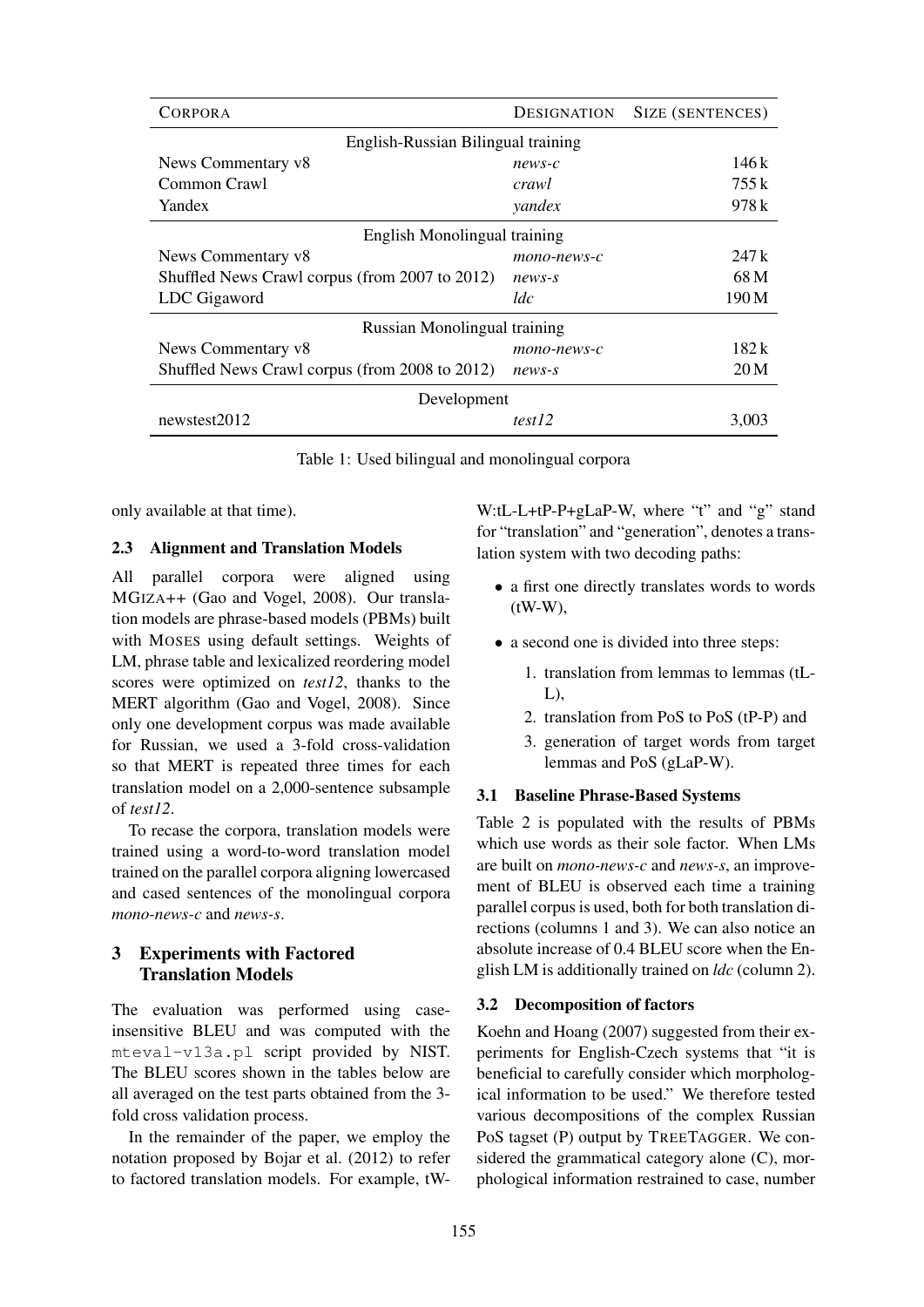| <b>CORPORA</b>                                 | <b>DESIGNATION</b> | SIZE (SENTENCES) |  |
|------------------------------------------------|--------------------|------------------|--|
| English-Russian Bilingual training             |                    |                  |  |
| News Commentary v8                             | $news-c$           | 146 k            |  |
| Common Crawl                                   | crawl              | 755k             |  |
| Yandex                                         | yandex             | 978 k            |  |
| English Monolingual training                   |                    |                  |  |
| News Commentary v8                             | mono-news-c        | 247k             |  |
| Shuffled News Crawl corpus (from 2007 to 2012) | $news-s$           | 68 M             |  |
| LDC Gigaword                                   | ldc                | 190 M            |  |
| Russian Monolingual training                   |                    |                  |  |
| News Commentary v8                             | mono-news-c        | 182 k            |  |
| Shuffled News Crawl corpus (from 2008 to 2012) | $news-s$           | 20 <sub>M</sub>  |  |
| Development                                    |                    |                  |  |
| newstest2012                                   | test12             | 3,003            |  |

Table 1: Used bilingual and monolingual corpora

only available at that time).

#### 2.3 Alignment and Translation Models

All parallel corpora were aligned using MGIZA++ (Gao and Vogel, 2008). Our translation models are phrase-based models (PBMs) built with MOSES using default settings. Weights of LM, phrase table and lexicalized reordering model scores were optimized on *test12*, thanks to the MERT algorithm (Gao and Vogel, 2008). Since only one development corpus was made available for Russian, we used a 3-fold cross-validation so that MERT is repeated three times for each translation model on a 2,000-sentence subsample of *test12*.

To recase the corpora, translation models were trained using a word-to-word translation model trained on the parallel corpora aligning lowercased and cased sentences of the monolingual corpora *mono-news-c* and *news-s*.

# 3 Experiments with Factored Translation Models

The evaluation was performed using caseinsensitive BLEU and was computed with the mteval-v13a.pl script provided by NIST. The BLEU scores shown in the tables below are all averaged on the test parts obtained from the 3 fold cross validation process.

In the remainder of the paper, we employ the notation proposed by Bojar et al. (2012) to refer to factored translation models. For example, tW-

W:tL-L+tP-P+gLaP-W, where "t" and "g" stand for "translation" and "generation", denotes a translation system with two decoding paths:

- a first one directly translates words to words (tW-W),
- a second one is divided into three steps:
	- 1. translation from lemmas to lemmas (tL- $L$ ),
	- 2. translation from PoS to PoS (tP-P) and
	- 3. generation of target words from target lemmas and PoS (gLaP-W).

### 3.1 Baseline Phrase-Based Systems

Table 2 is populated with the results of PBMs which use words as their sole factor. When LMs are built on *mono-news-c* and *news-s*, an improvement of BLEU is observed each time a training parallel corpus is used, both for both translation directions (columns 1 and 3). We can also notice an absolute increase of 0.4 BLEU score when the English LM is additionally trained on *ldc* (column 2).

### 3.2 Decomposition of factors

Koehn and Hoang (2007) suggested from their experiments for English-Czech systems that "it is beneficial to carefully consider which morphological information to be used." We therefore tested various decompositions of the complex Russian PoS tagset (P) output by TREETAGGER. We considered the grammatical category alone (C), morphological information restrained to case, number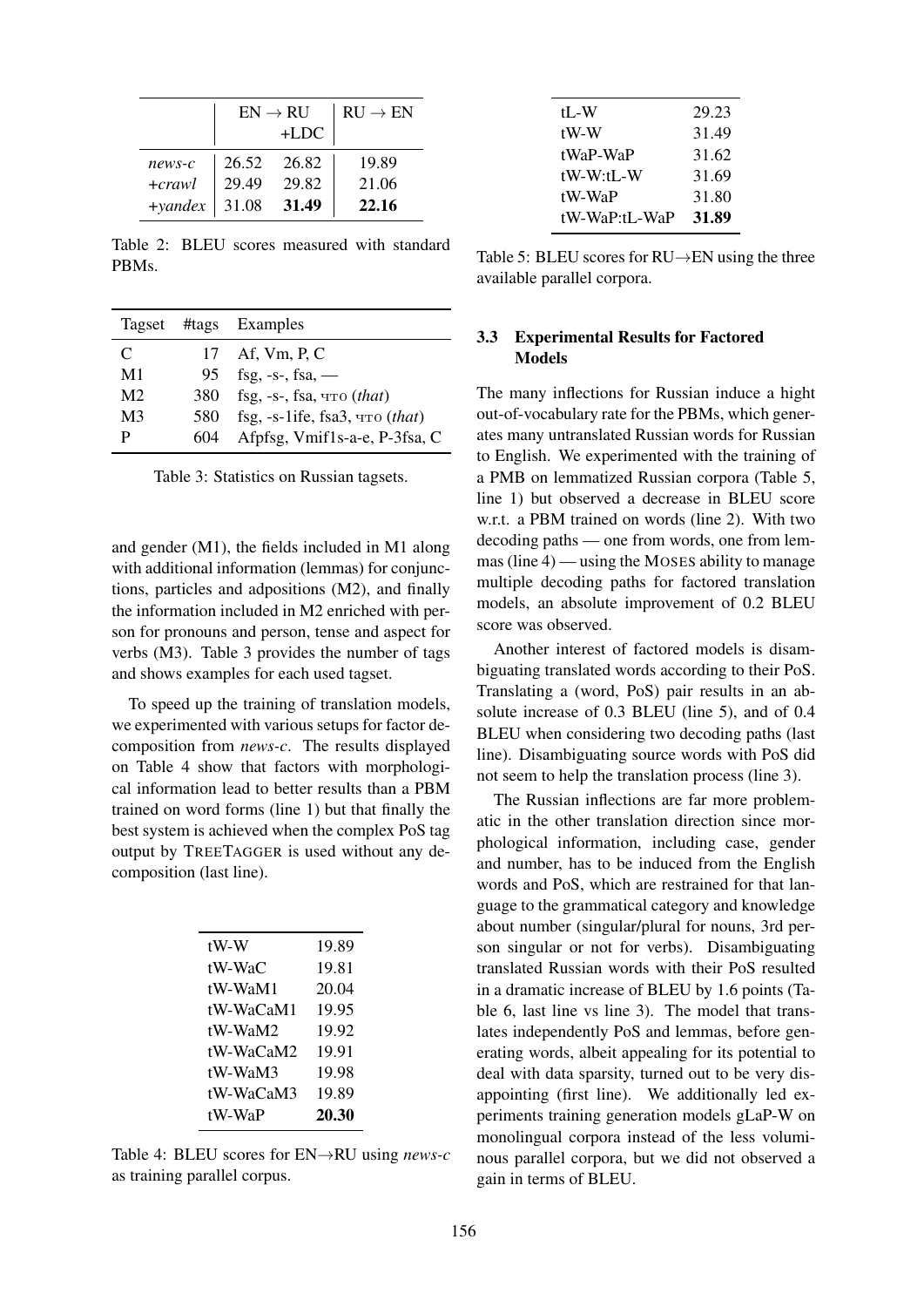|                   | $EN \rightarrow RI$ |        | $RIJ \rightarrow EN$ |
|-------------------|---------------------|--------|----------------------|
|                   |                     | $+LDC$ |                      |
| $news-c$          | 26.52               | 26.82  | 19.89                |
| $+crawl$          | 29.49               | 29.82  | 21.06                |
| $+$ <i>yandex</i> | 31.08               | 31.49  | 22.16                |

Table 2: BLEU scores measured with standard PBMs.

|                |     | Tagset #tags Examples                       |
|----------------|-----|---------------------------------------------|
| C              |     | 17 Af, Vm, P, C                             |
| M1             |     | 95 fsg, -s-, fsa, —                         |
| M <sub>2</sub> |     | 380 fsg, -s-, fsa, что (that)               |
| M3             |     | 580 fsg, -s-1ife, fsa3, $\text{4To}$ (that) |
| р              | 604 | Afpfsg, Vmif1s-a-e, P-3fsa, C               |

Table 3: Statistics on Russian tagsets.

and gender (M1), the fields included in M1 along with additional information (lemmas) for conjunctions, particles and adpositions (M2), and finally the information included in M2 enriched with person for pronouns and person, tense and aspect for verbs (M3). Table 3 provides the number of tags and shows examples for each used tagset.

To speed up the training of translation models, we experimented with various setups for factor decomposition from *news-c*. The results displayed on Table 4 show that factors with morphological information lead to better results than a PBM trained on word forms (line 1) but that finally the best system is achieved when the complex PoS tag output by TREETAGGER is used without any decomposition (last line).

| tW-W      | 19.89 |
|-----------|-------|
| tW-WaC    | 19.81 |
| tW-WaM1   | 20.04 |
| tW-WaCaM1 | 19.95 |
| tW-WaM2   | 19.92 |
| tW-WaCaM2 | 19.91 |
| tW-WaM3   | 19.98 |
| tW-WaCaM3 | 19.89 |
| tW-WaP    | 20.30 |

Table 4: BLEU scores for EN→RU using *news-c* as training parallel corpus.

| tL-W          | 29.23 |
|---------------|-------|
| tW-W          | 31.49 |
| tWaP-WaP      | 31.62 |
| tW-W:tL-W     | 31.69 |
| tW-WaP        | 31.80 |
| tW-WaP:tL-WaP | 31.89 |

Table 5: BLEU scores for RU→EN using the three available parallel corpora.

### 3.3 Experimental Results for Factored Models

The many inflections for Russian induce a hight out-of-vocabulary rate for the PBMs, which generates many untranslated Russian words for Russian to English. We experimented with the training of a PMB on lemmatized Russian corpora (Table 5, line 1) but observed a decrease in BLEU score w.r.t. a PBM trained on words (line 2). With two decoding paths — one from words, one from lemmas (line 4) — using the MOSES ability to manage multiple decoding paths for factored translation models, an absolute improvement of 0.2 BLEU score was observed.

Another interest of factored models is disambiguating translated words according to their PoS. Translating a (word, PoS) pair results in an absolute increase of 0.3 BLEU (line 5), and of 0.4 BLEU when considering two decoding paths (last line). Disambiguating source words with PoS did not seem to help the translation process (line 3).

The Russian inflections are far more problematic in the other translation direction since morphological information, including case, gender and number, has to be induced from the English words and PoS, which are restrained for that language to the grammatical category and knowledge about number (singular/plural for nouns, 3rd person singular or not for verbs). Disambiguating translated Russian words with their PoS resulted in a dramatic increase of BLEU by 1.6 points (Table 6, last line vs line 3). The model that translates independently PoS and lemmas, before generating words, albeit appealing for its potential to deal with data sparsity, turned out to be very disappointing (first line). We additionally led experiments training generation models gLaP-W on monolingual corpora instead of the less voluminous parallel corpora, but we did not observed a gain in terms of BLEU.